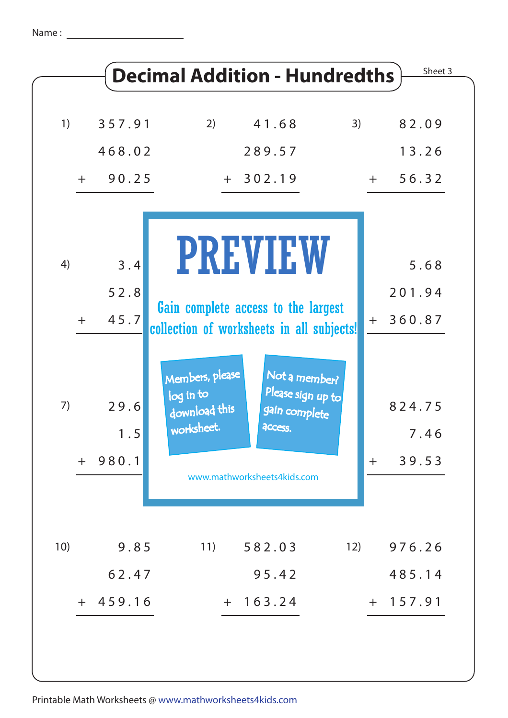| 1)  | 357.91      | 2)                                                          | 41.68<br>3)                                                    |       | 82.09          |
|-----|-------------|-------------------------------------------------------------|----------------------------------------------------------------|-------|----------------|
|     | 468.02      |                                                             | 289.57                                                         |       | 13.26          |
|     | $+ 90.25$   | $+ 302.19$                                                  |                                                                | $+$   | 56.32          |
| 4)  | 3.4         | <b>PREVIEW</b>                                              |                                                                |       | 5.68           |
|     | 52.8        | Gain complete access to the largest                         |                                                                |       | 201.94         |
| $+$ | 45.7        | collection of worksheets in all subjects!                   |                                                                | $+$   | 360.87         |
| 7)  | 29.6<br>1.5 | Members, please<br>log in to<br>download this<br>worksheet. | Not a member?<br>Please sign up to<br>gain complete<br>access. |       | 824.75<br>7.46 |
|     | $+ 980.1$   | www.mathworksheets4kids.com                                 |                                                                | $\pm$ | 39.53          |
| 10) | 9.85        | 11)                                                         | 12)<br>582.03                                                  |       | 976.26         |
|     | 62.47       |                                                             | 95.42                                                          |       | 485.14         |
|     | $+ 459.16$  | $+ 163.24$                                                  |                                                                |       | $+ 157.91$     |